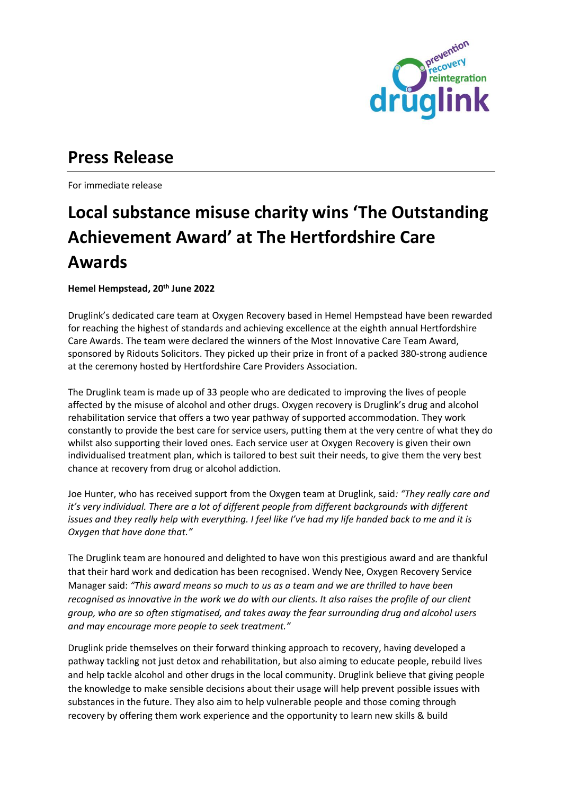

## **Press Release**

For immediate release

## **Local substance misuse charity wins 'The Outstanding Achievement Award' at The Hertfordshire Care Awards**

**Hemel Hempstead, 20th June 2022**

Druglink's dedicated care team at Oxygen Recovery based in Hemel Hempstead have been rewarded for reaching the highest of standards and achieving excellence at the eighth annual Hertfordshire Care Awards. The team were declared the winners of the Most Innovative Care Team Award, sponsored by Ridouts Solicitors. They picked up their prize in front of a packed 380-strong audience at the ceremony hosted by Hertfordshire Care Providers Association.

The Druglink team is made up of 33 people who are dedicated to improving the lives of people affected by the misuse of alcohol and other drugs. Oxygen recovery is Druglink's drug and alcohol rehabilitation service that offers a two year pathway of supported accommodation. They work constantly to provide the best care for service users, putting them at the very centre of what they do whilst also supporting their loved ones. Each service user at Oxygen Recovery is given their own individualised treatment plan, which is tailored to best suit their needs, to give them the very best chance at recovery from drug or alcohol addiction.

Joe Hunter, who has received support from the Oxygen team at Druglink, said*: "They really care and it's very individual. There are a lot of different people from different backgrounds with different issues and they really help with everything. I feel like I've had my life handed back to me and it is Oxygen that have done that."*

The Druglink team are honoured and delighted to have won this prestigious award and are thankful that their hard work and dedication has been recognised. Wendy Nee, Oxygen Recovery Service Manager said: *"This award means so much to us as a team and we are thrilled to have been recognised as innovative in the work we do with our clients. It also raises the profile of our client group, who are so often stigmatised, and takes away the fear surrounding drug and alcohol users and may encourage more people to seek treatment."*

Druglink pride themselves on their forward thinking approach to recovery, having developed a pathway tackling not just detox and rehabilitation, but also aiming to educate people, rebuild lives and help tackle alcohol and other drugs in the local community. Druglink believe that giving people the knowledge to make sensible decisions about their usage will help prevent possible issues with substances in the future. They also aim to help vulnerable people and those coming through recovery by offering them work experience and the opportunity to learn new skills & build